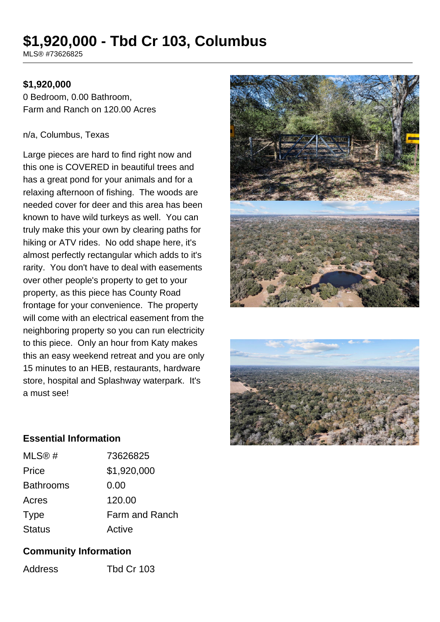# **\$1,920,000 - Tbd Cr 103, Columbus**

MLS® #73626825

### **\$1,920,000**

0 Bedroom, 0.00 Bathroom, Farm and Ranch on 120.00 Acres

#### n/a, Columbus, Texas

Large pieces are hard to find right now and this one is COVERED in beautiful trees and has a great pond for your animals and for a relaxing afternoon of fishing. The woods are needed cover for deer and this area has been known to have wild turkeys as well. You can truly make this your own by clearing paths for hiking or ATV rides. No odd shape here, it's almost perfectly rectangular which adds to it's rarity. You don't have to deal with easements over other people's property to get to your property, as this piece has County Road frontage for your convenience. The property will come with an electrical easement from the neighboring property so you can run electricity to this piece. Only an hour from Katy makes this an easy weekend retreat and you are only 15 minutes to an HEB, restaurants, hardware store, hospital and Splashway waterpark. It's a must see!





#### **Essential Information**

| MLS@#            | 73626825              |
|------------------|-----------------------|
| Price            | \$1,920,000           |
| <b>Bathrooms</b> | 0.00                  |
| Acres            | 120.00                |
| <b>Type</b>      | <b>Farm and Ranch</b> |
| <b>Status</b>    | Active                |

## **Community Information**

Address Tbd Cr 103